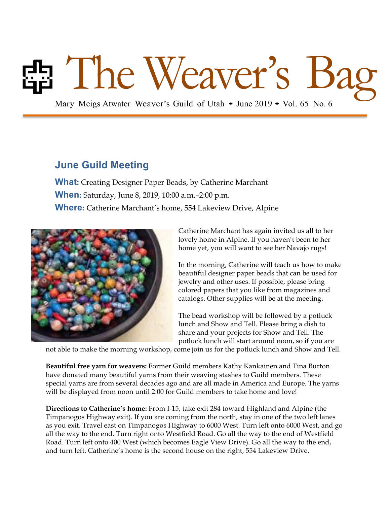# Mary Meigs Atwater Weaver's Guild of Utah • June 2019 • Vol. 65 No. 6

### **June Guild Meeting**

**What:** Creating Designer Paper Beads, by Catherine Marchant **When:** Saturday, June 8, 2019, 10:00 a.m.–2:00 p.m. **Where:** Catherine Marchant's home, 554 Lakeview Drive, Alpine



Catherine Marchant has again invited us all to her lovely home in Alpine. If you haven't been to her home yet, you will want to see her Navajo rugs!

In the morning, Catherine will teach us how to make beautiful designer paper beads that can be used for jewelry and other uses. If possible, please bring colored papers that you like from magazines and catalogs. Other supplies will be at the meeting.

The bead workshop will be followed by a potluck lunch and Show and Tell. Please bring a dish to share and your projects for Show and Tell. The potluck lunch will start around noon, so if you are

not able to make the morning workshop, come join us for the potluck lunch and Show and Tell.

**Beautiful free yarn for weavers:** Former Guild members Kathy Kankainen and Tina Burton have donated many beautiful yarns from their weaving stashes to Guild members. These special yarns are from several decades ago and are all made in America and Europe. The yarns will be displayed from noon until 2:00 for Guild members to take home and love!

**Directions to Catherine's home:** From I-15, take exit 284 toward Highland and Alpine (the Timpanogos Highway exit). If you are coming from the north, stay in one of the two left lanes as you exit. Travel east on Timpanogos Highway to 6000 West. Turn left onto 6000 West, and go all the way to the end. Turn right onto Westfield Road. Go all the way to the end of Westfield Road. Turn left onto 400 West (which becomes Eagle View Drive). Go all the way to the end, and turn left. Catherine's home is the second house on the right, 554 Lakeview Drive.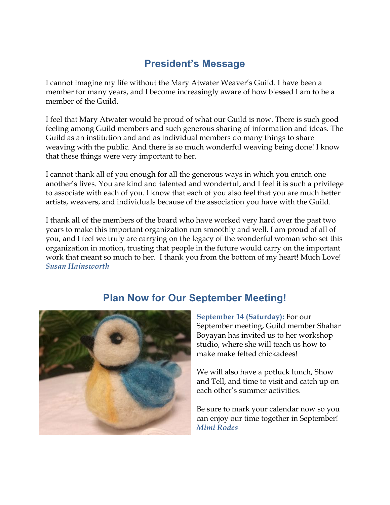# **President's Message**

I cannot imagine my life without the Mary Atwater Weaver's Guild. I have been a member for many years, and I become increasingly aware of how blessed I am to be a member of the Guild.

I feel that Mary Atwater would be proud of what our Guild is now. There is such good feeling among Guild members and such generous sharing of information and ideas. The Guild as an institution and and as individual members do many things to share weaving with the public. And there is so much wonderful weaving being done! I know that these things were very important to her.

I cannot thank all of you enough for all the generous ways in which you enrich one another's lives. You are kind and talented and wonderful, and I feel it is such a privilege to associate with each of you. I know that each of you also feel that you are much better artists, weavers, and individuals because of the association you have with the Guild.

I thank all of the members of the board who have worked very hard over the past two years to make this important organization run smoothly and well. I am proud of all of you, and I feel we truly are carrying on the legacy of the wonderful woman who set this organization in motion, trusting that people in the future would carry on the important work that meant so much to her. I thank you from the bottom of my heart! Much Love! *Susan Hainsworth*

# **Plan Now for Our September Meeting!**

**September 14 (Saturday):** For our September meeting, Guild member Shahar Boyayan has invited us to her workshop studio, where she will teach us how to make make felted chickadees!

We will also have a potluck lunch, Show and Tell, and time to visit and catch up on each other's summer activities.

Be sure to mark your calendar now so you can enjoy our time together in September! *Mimi Rodes*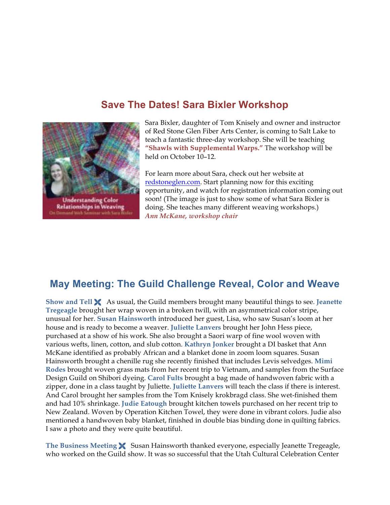### **Save The Dates! Sara Bixler Workshop**



**Understanding Color Relationships in Weaving** 

Sara Bixler, daughter of Tom Knisely and owner and instructor of Red Stone Glen Fiber Arts Center, is coming to Salt Lake to teach a fantastic three-day workshop. She will be teaching **"Shawls with Supplemental Warps."** The workshop will be held on October 10–12.

For learn more about Sara, check out her website at redstoneglen.com. Start planning now for this exciting opportunity, and watch for registration information coming out soon! (The image is just to show some of what Sara Bixler is doing. She teaches many different weaving workshops.) *Ann McKane, workshop chair*

### **May Meeting: The Guild Challenge Reveal, Color and Weave**

**Show and Tell** Ë As usual, the Guild members brought many beautiful things to see. **Jeanette Tregeagle** brought her wrap woven in a broken twill, with an asymmetrical color stripe, unusual for her. **Susan Hainsworth** introduced her guest, Lisa, who saw Susan's loom at her house and is ready to become a weaver. **Juliette Lanvers** brought her John Hess piece, purchased at a show of his work. She also brought a Saori warp of fine wool woven with various wefts, linen, cotton, and slub cotton. **Kathryn Jonker** brought a DI basket that Ann McKane identified as probably African and a blanket done in zoom loom squares. Susan Hainsworth brought a chenille rug she recently finished that includes Levis selvedges. **Mimi Rodes** brought woven grass mats from her recent trip to Vietnam, and samples from the Surface Design Guild on Shibori dyeing. **Carol Fults** brought a bag made of handwoven fabric with a zipper, done in a class taught by Juliette. **Juliette Lanvers** will teach the class if there is interest. And Carol brought her samples from the Tom Knisely krokbragd class. She wet-finished them and had 10% shrinkage. **Judie Eatough** brought kitchen towels purchased on her recent trip to New Zealand. Woven by Operation Kitchen Towel, they were done in vibrant colors. Judie also mentioned a handwoven baby blanket, finished in double bias binding done in quilting fabrics. I saw a photo and they were quite beautiful.

**The Business Meeting** Ë Susan Hainsworth thanked everyone, especially Jeanette Tregeagle, who worked on the Guild show. It was so successful that the Utah Cultural Celebration Center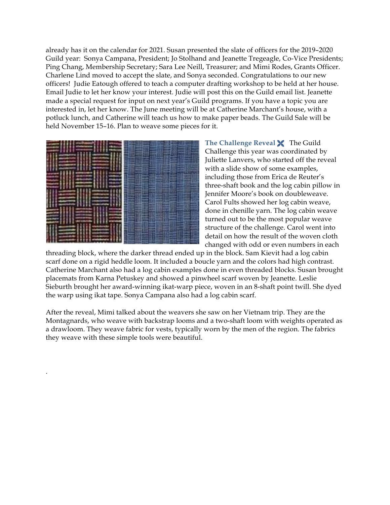already has it on the calendar for 2021. Susan presented the slate of officers for the 2019–2020 Guild year: Sonya Campana, President; Jo Stolhand and Jeanette Tregeagle, Co-Vice Presidents; Ping Chang, Membership Secretary; Sara Lee Neill, Treasurer; and Mimi Rodes, Grants Officer. Charlene Lind moved to accept the slate, and Sonya seconded. Congratulations to our new officers! Judie Eatough offered to teach a computer drafting workshop to be held at her house. Email Judie to let her know your interest. Judie will post this on the Guild email list. Jeanette made a special request for input on next year's Guild programs. If you have a topic you are interested in, let her know. The June meeting will be at Catherine Marchant's house, with a potluck lunch, and Catherine will teach us how to make paper beads. The Guild Sale will be held November 15–16. Plan to weave some pieces for it.



.

The Challenge Reveal **X** The Guild Challenge this year was coordinated by Juliette Lanvers, who started off the reveal with a slide show of some examples, including those from Erica de Reuter's three-shaft book and the log cabin pillow in Jennifer Moore's book on doubleweave. Carol Fults showed her log cabin weave, done in chenille yarn. The log cabin weave turned out to be the most popular weave structure of the challenge. Carol went into detail on how the result of the woven cloth changed with odd or even numbers in each

threading block, where the darker thread ended up in the block. Sam Kievit had a log cabin scarf done on a rigid heddle loom. It included a boucle yarn and the colors had high contrast. Catherine Marchant also had a log cabin examples done in even threaded blocks. Susan brought placemats from Karna Petuskey and showed a pinwheel scarf woven by Jeanette. Leslie Sieburth brought her award-winning ikat-warp piece, woven in an 8-shaft point twill. She dyed the warp using ikat tape. Sonya Campana also had a log cabin scarf.

After the reveal, Mimi talked about the weavers she saw on her Vietnam trip. They are the Montagnards, who weave with backstrap looms and a two-shaft loom with weights operated as a drawloom. They weave fabric for vests, typically worn by the men of the region. The fabrics they weave with these simple tools were beautiful.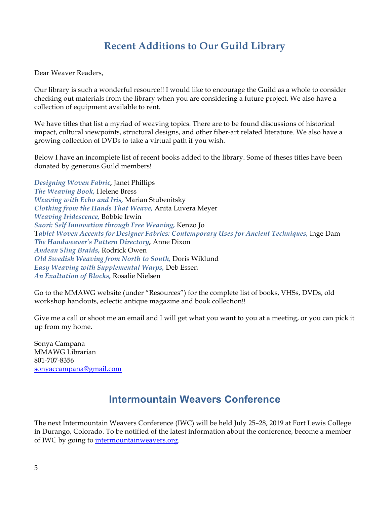# **Recent Additions to Our Guild Library**

Dear Weaver Readers,

Our library is such a wonderful resource!! I would like to encourage the Guild as a whole to consider checking out materials from the library when you are considering a future project. We also have a collection of equipment available to rent.

We have titles that list a myriad of weaving topics. There are to be found discussions of historical impact, cultural viewpoints, structural designs, and other fiber-art related literature. We also have a growing collection of DVDs to take a virtual path if you wish.

Below I have an incomplete list of recent books added to the library. Some of theses titles have been donated by generous Guild members!

*Designing Woven Fabric,* Janet Phillips *The Weaving Book,* Helene Bress *Weaving with Echo and Iris,* Marian Stubenitsky *Clothing from the Hands That Weave,* Anita Luvera Meyer *Weaving Iridescence,* Bobbie Irwin *Saori: Self Innovation through Free Weaving,* Kenzo Jo T*ablet Woven Accents for Designer Fabrics: Contemporary Uses for Ancient Techniques,* Inge Dam *The Handweaver's Pattern Directory,* Anne Dixon *Andean Sling Braids,* Rodrick Owen *Old Swedish Weaving from North to South,* Doris Wiklund *Easy Weaving with Supplemental Warps,* Deb Essen *An Exaltation of Blocks,* Rosalie Nielsen

Go to the MMAWG website (under "Resources") for the complete list of books, VHSs, DVDs, old workshop handouts, eclectic antique magazine and book collection!!

Give me a call or shoot me an email and I will get what you want to you at a meeting, or you can pick it up from my home.

Sonya Campana MMAWG Librarian 801-707-8356 sonyaccampana@gmail.com

# **Intermountain Weavers Conference**

The next Intermountain Weavers Conference (IWC) will be held July 25–28, 2019 at Fort Lewis College in Durango, Colorado. To be notified of the latest information about the conference, become a member of IWC by going to intermountainweavers.org.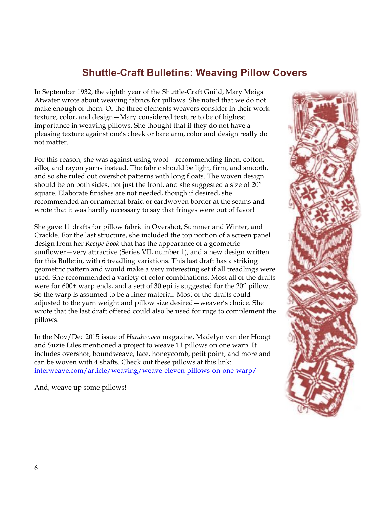### **Shuttle-Craft Bulletins: Weaving Pillow Covers**

In September 1932, the eighth year of the Shuttle-Craft Guild, Mary Meigs Atwater wrote about weaving fabrics for pillows. She noted that we do not make enough of them. Of the three elements weavers consider in their work texture, color, and design—Mary considered texture to be of highest importance in weaving pillows. She thought that if they do not have a pleasing texture against one's cheek or bare arm, color and design really do not matter.

For this reason, she was against using wool—recommending linen, cotton, silks, and rayon yarns instead. The fabric should be light, firm, and smooth, and so she ruled out overshot patterns with long floats. The woven design should be on both sides, not just the front, and she suggested a size of 20" square. Elaborate finishes are not needed, though if desired, she recommended an ornamental braid or cardwoven border at the seams and wrote that it was hardly necessary to say that fringes were out of favor!

She gave 11 drafts for pillow fabric in Overshot, Summer and Winter, and Crackle. For the last structure, she included the top portion of a screen panel design from her *Recipe Book* that has the appearance of a geometric sunflower—very attractive (Series VII, number 1), and a new design written for this Bulletin, with 6 treadling variations. This last draft has a striking geometric pattern and would make a very interesting set if all treadlings were used. She recommended a variety of color combinations. Most all of the drafts were for 600+ warp ends, and a sett of 30 epi is suggested for the 20" pillow. So the warp is assumed to be a finer material. Most of the drafts could adjusted to the yarn weight and pillow size desired—weaver's choice. She wrote that the last draft offered could also be used for rugs to complement the pillows.

In the Nov/Dec 2015 issue of *Handwoven* magazine, Madelyn van der Hoogt and Suzie Liles mentioned a project to weave 11 pillows on one warp. It includes overshot, boundweave, lace, honeycomb, petit point, and more and can be woven with 4 shafts. Check out these pillows at this link: interweave.com/article/weaving/weave-eleven-pillows-on-one-warp/

And, weave up some pillows!

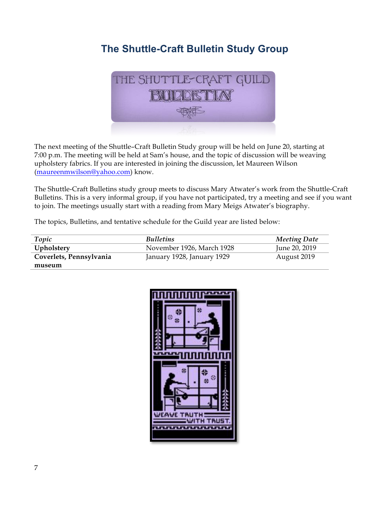# **The Shuttle-Craft Bulletin Study Group**



The next meeting of the Shuttle–Craft Bulletin Study group will be held on June 20, starting at 7:00 p.m. The meeting will be held at Sam's house, and the topic of discussion will be weaving upholstery fabrics. If you are interested in joining the discussion, let Maureen Wilson (maureenmwilson@yahoo.com) know.

The Shuttle-Craft Bulletins study group meets to discuss Mary Atwater's work from the Shuttle-Craft Bulletins. This is a very informal group, if you have not participated, try a meeting and see if you want to join. The meetings usually start with a reading from Mary Meigs Atwater's biography.

The topics, Bulletins, and tentative schedule for the Guild year are listed below:

| Topic                   | <b>Bulletins</b>           | <b>Meeting Date</b> |
|-------------------------|----------------------------|---------------------|
| Upholstery              | November 1926, March 1928  | June 20, 2019       |
| Coverlets, Pennsylvania | January 1928, January 1929 | August 2019         |
| museum                  |                            |                     |